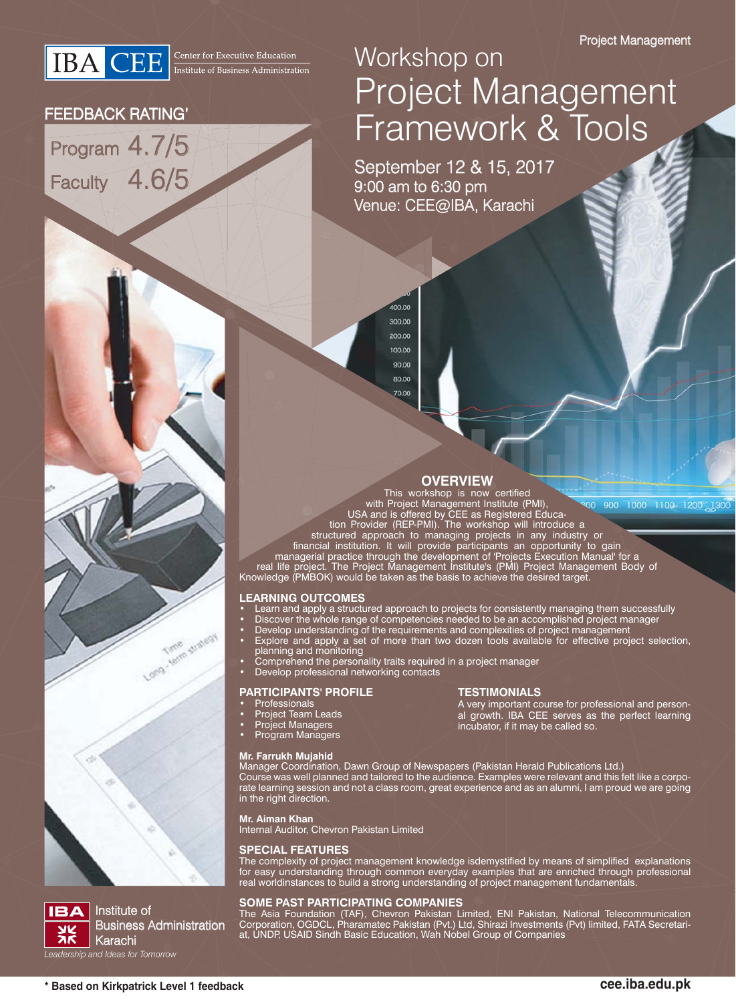

### FEEDBACK RATING'

Program 4.7/5 Faculty 4.6/5

# Workshop on Project Management Framework & Tools

September 12 & 15, 2017  $9:00$  am to 6:30 pm Venue: CEE@IBA, Karachi

> 200.00 100.00 90.00 80.00 70.00

 $100.00$ 300.00

**OVERVIEW**<br>This workshop is now certified

00 900 1000 1100 1200 1300

with Project Management Institute (PMI), USA and is offered by CEE as Registered Education Provider (REP-PMI). The workshop will introduce a structured approach to managing projects in any industry or

financial institution. It will provide participants an opportunity to gain managerial practice through the development of 'Projects Execution Manual' for a

real life project. The Project Management Institute's (PMI) Project Management Body of Knowledge (PMBOK) would be taken as the basis to achieve the desired target.

#### **LEARNING OUTCOMES**

- Learn and apply a structured approach to projects for consistently managing them successfully
- Discover the whole range of competencies needed to be an accomplished project manager
- Develop understanding of the requirements and complexities of project management
- Explore and apply a set of more than two dozen tools available for effective project selection, planning and monitoring
- Comprehend the personality traits required in a project manager
- Develop professional networking contacts

#### **PARTICIPANTS' PROFILE**

- Professionals
- Project Team Leads

Time stratesy

• Project Managers • Program Managers

#### **Mr. Farrukh Mujahid**

#### **TESTIMONIALS**

A very important course for professional and personal growth. IBA CEE serves as the perfect learning incubator, if it may be called so.

Manager Coordination, Dawn Group of Newspapers (Pakistan Herald Publications Ltd.) Course was well planned and tailored to the audience. Examples were relevant and this felt like a corporate learning session and not a class room, great experience and as an alumni, I am proud we are going in the right direction.

**Mr. Aiman Khan**

Internal Auditor, Chevron Pakistan Limited

#### **SPECIAL FEATURES**

The complexity of project management knowledge isdemystified by means of simplified explanations for easy understanding through common everyday examples that are enriched through professional real worldinstances to build a strong understanding of project management fundamentals.

#### **SOME PAST PARTICIPATING COMPANIES**

The Asia Foundation (TAF), Chevron Pakistan Limited, ENI Pakistan, National Telecommunication Corporation, OGDCL, Pharamatec Pakistan (Pvt.) Ltd, Shirazi Investments (Pvt) limited, FATA Secretariat, UNDP, USAID Sindh Basic Education, Wah Nobel Group of Companies